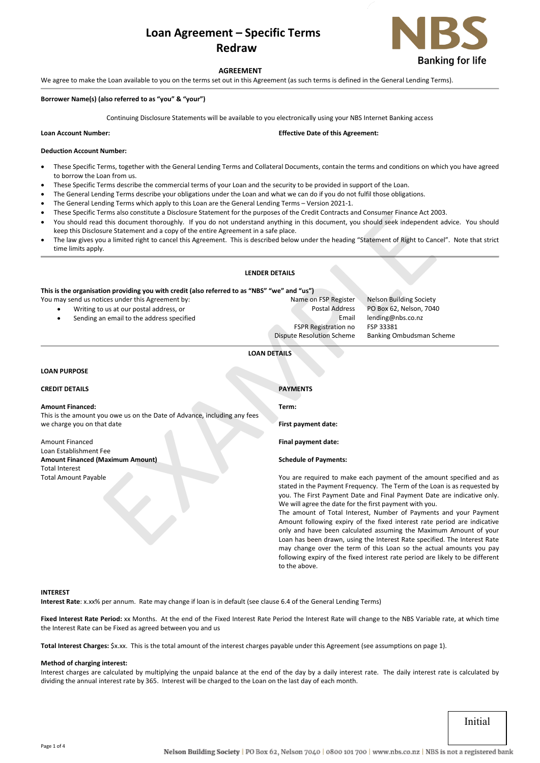# **Loan Agreement – Specific Terms Redraw**



## **AGREEMENT**

We agree to make the Loan available to you on the terms set out in this Agreement (as such terms is defined in the General Lending Terms).

## **Borrower Name(s) (also referred to as "you" & "your")**

Continuing Disclosure Statements will be available to you electronically using your NBS Internet Banking access

**Leffective Date of this Agreement:** 

#### **Deduction Account Number:**

- These Specific Terms, together with the General Lending Terms and Collateral Documents, contain the terms and conditions on which you have agreed to borrow the Loan from us.
- These Specific Terms describe the commercial terms of your Loan and the security to be provided in support of the Loan.
- The General Lending Terms describe your obligations under the Loan and what we can do if you do not fulfil those obligations.
- The General Lending Terms which apply to this Loan are the General Lending Terms Version 2021-1.
- These Specific Terms also constitute a Disclosure Statement for the purposes of the Credit Contracts and Consumer Finance Act 2003.
- You should read this document thoroughly. If you do not understand anything in this document, you should seek independent advice. You should keep this Disclosure Statement and a copy of the entire Agreement in a safe place.
- The law gives you a limited right to cancel this Agreement. This is described below under the heading "Statement of Right to Cancel". Note that strict time limits apply.

## **LENDER DETAILS**

## **LOAN PURPOSE**

| These Specific Terms also constitute a Disclosure Statement for the purposes of the Credit Contracts and Consumer Finance Act 2003.<br>You should read this document thoroughly. If you do not understand anything in this document, you should seek independent advice. You should<br>keep this Disclosure Statement and a copy of the entire Agreement in a safe place. |                                                                                                                                                                                                                                                                                    |                                                                      |  |
|---------------------------------------------------------------------------------------------------------------------------------------------------------------------------------------------------------------------------------------------------------------------------------------------------------------------------------------------------------------------------|------------------------------------------------------------------------------------------------------------------------------------------------------------------------------------------------------------------------------------------------------------------------------------|----------------------------------------------------------------------|--|
| The law gives you a limited right to cancel this Agreement. This is described below under the heading "Statement of Right to Cancel". Note that strict<br>time limits apply.                                                                                                                                                                                              |                                                                                                                                                                                                                                                                                    |                                                                      |  |
|                                                                                                                                                                                                                                                                                                                                                                           | <b>LENDER DETAILS</b>                                                                                                                                                                                                                                                              |                                                                      |  |
| This is the organisation providing you with credit (also referred to as "NBS" "we" and "us")                                                                                                                                                                                                                                                                              |                                                                                                                                                                                                                                                                                    |                                                                      |  |
| You may send us notices under this Agreement by:                                                                                                                                                                                                                                                                                                                          | Name on FSP Register                                                                                                                                                                                                                                                               | <b>Nelson Building Society</b>                                       |  |
| Writing to us at our postal address, or                                                                                                                                                                                                                                                                                                                                   | <b>Postal Address</b>                                                                                                                                                                                                                                                              | PO Box 62, Nelson, 7040                                              |  |
| Sending an email to the address specified                                                                                                                                                                                                                                                                                                                                 | Email                                                                                                                                                                                                                                                                              | lending@nbs.co.nz                                                    |  |
|                                                                                                                                                                                                                                                                                                                                                                           | <b>FSPR Registration no</b>                                                                                                                                                                                                                                                        | FSP 33381                                                            |  |
|                                                                                                                                                                                                                                                                                                                                                                           | <b>Dispute Resolution Scheme</b>                                                                                                                                                                                                                                                   | Banking Ombudsman Scheme                                             |  |
|                                                                                                                                                                                                                                                                                                                                                                           | <b>LOAN DETAILS</b>                                                                                                                                                                                                                                                                |                                                                      |  |
| <b>LOAN PURPOSE</b>                                                                                                                                                                                                                                                                                                                                                       |                                                                                                                                                                                                                                                                                    |                                                                      |  |
| <b>CREDIT DETAILS</b>                                                                                                                                                                                                                                                                                                                                                     | <b>PAYMENTS</b>                                                                                                                                                                                                                                                                    |                                                                      |  |
| <b>Amount Financed:</b>                                                                                                                                                                                                                                                                                                                                                   | Term:                                                                                                                                                                                                                                                                              |                                                                      |  |
| This is the amount you owe us on the Date of Advance, including any fees                                                                                                                                                                                                                                                                                                  |                                                                                                                                                                                                                                                                                    |                                                                      |  |
| we charge you on that date                                                                                                                                                                                                                                                                                                                                                | First payment date:                                                                                                                                                                                                                                                                |                                                                      |  |
| <b>Amount Financed</b>                                                                                                                                                                                                                                                                                                                                                    | Final payment date:                                                                                                                                                                                                                                                                |                                                                      |  |
| Loan Establishment Fee                                                                                                                                                                                                                                                                                                                                                    |                                                                                                                                                                                                                                                                                    |                                                                      |  |
| <b>Amount Financed (Maximum Amount)</b><br><b>Total Interest</b>                                                                                                                                                                                                                                                                                                          | <b>Schedule of Payments:</b>                                                                                                                                                                                                                                                       |                                                                      |  |
| <b>Total Amount Payable</b>                                                                                                                                                                                                                                                                                                                                               |                                                                                                                                                                                                                                                                                    | You are required to make each payment of the amount specified and as |  |
|                                                                                                                                                                                                                                                                                                                                                                           | stated in the Payment Frequency. The Term of the Loan is as requested by<br>you. The First Payment Date and Final Payment Date are indicative only.<br>We will agree the date for the first payment with you.<br>The amount of Total Interest, Number of Payments and your Payment |                                                                      |  |
|                                                                                                                                                                                                                                                                                                                                                                           |                                                                                                                                                                                                                                                                                    |                                                                      |  |
|                                                                                                                                                                                                                                                                                                                                                                           |                                                                                                                                                                                                                                                                                    |                                                                      |  |
|                                                                                                                                                                                                                                                                                                                                                                           |                                                                                                                                                                                                                                                                                    |                                                                      |  |
|                                                                                                                                                                                                                                                                                                                                                                           | Amount following expiry of the fixed interest rate period are indicative                                                                                                                                                                                                           |                                                                      |  |
|                                                                                                                                                                                                                                                                                                                                                                           | only and have been calculated assuming the Maximum Amount of your<br>Loan has been drawn, using the Interest Rate specified. The Interest Rate                                                                                                                                     |                                                                      |  |
|                                                                                                                                                                                                                                                                                                                                                                           |                                                                                                                                                                                                                                                                                    | may change over the term of this Loan so the actual amounts you pay  |  |
|                                                                                                                                                                                                                                                                                                                                                                           |                                                                                                                                                                                                                                                                                    |                                                                      |  |

## **INTEREST**

**Interest Rate**: x.xx% per annum. Rate may change if loan is in default (see clause 6.4 of the General Lending Terms)

Fixed Interest Rate Period: xx Months. At the end of the Fixed Interest Rate Period the Interest Rate will change to the NBS Variable rate, at which time the Interest Rate can be Fixed as agreed between you and us

to the above.

**Total Interest Charges:** \$x.xx. This is the total amount of the interest charges payable under this Agreement (see assumptions on page 1).

#### **Method of charging interest:**

Interest charges are calculated by multiplying the unpaid balance at the end of the day by a daily interest rate. The daily interest rate is calculated by dividing the annual interest rate by 365. Interest will be charged to the Loan on the last day of each month.

Initial

following expiry of the fixed interest rate period are likely to be different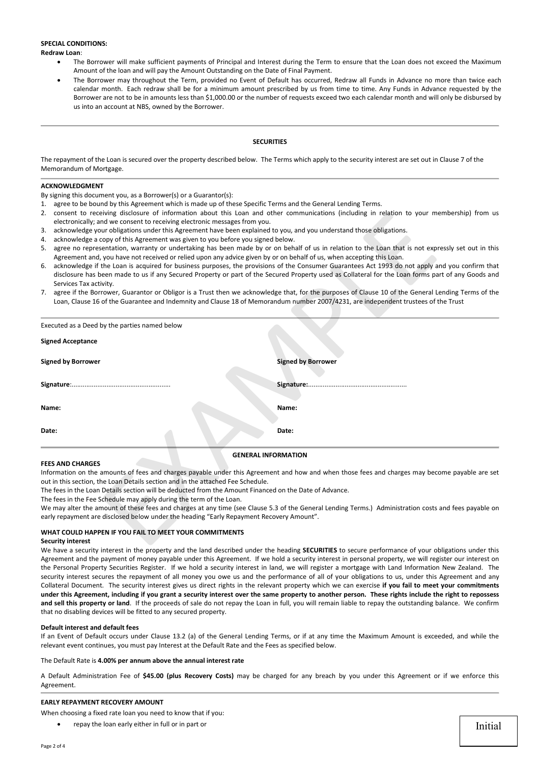## **SPECIAL CONDITIONS:**

**Redraw Loan**:

- The Borrower will make sufficient payments of Principal and Interest during the Term to ensure that the Loan does not exceed the Maximum Amount of the loan and will pay the Amount Outstanding on the Date of Final Payment.
- The Borrower may throughout the Term, provided no Event of Default has occurred, Redraw all Funds in Advance no more than twice each calendar month. Each redraw shall be for a minimum amount prescribed by us from time to time. Any Funds in Advance requested by the Borrower are not to be in amounts less than \$1,000.00 or the number of requests exceed two each calendar month and will only be disbursed by us into an account at NBS, owned by the Borrower.

## **SECURITIES**

The repayment of the Loan is secured over the property described below. The Terms which apply to the security interest are set out in Clause 7 of the Memorandum of Mortgage.

## **ACKNOWLEDGMENT**

By signing this document you, as a Borrower(s) or a Guarantor(s):

- 1. agree to be bound by this Agreement which is made up of these Specific Terms and the General Lending Terms.
- 2. consent to receiving disclosure of information about this Loan and other communications (including in relation to your membership) from us electronically; and we consent to receiving electronic messages from you.
- 3. acknowledge your obligations under this Agreement have been explained to you, and you understand those obligations.
- 4. acknowledge a copy of this Agreement was given to you before you signed below.
- 5. agree no representation, warranty or undertaking has been made by or on behalf of us in relation to the Loan that is not expressly set out in this Agreement and, you have not received or relied upon any advice given by or on behalf of us, when accepting this Loan.
- 6. acknowledge if the Loan is acquired for business purposes, the provisions of the Consumer Guarantees Act 1993 do not apply and you confirm that disclosure has been made to us if any Secured Property or part of the Secured Property used as Collateral for the Loan forms part of any Goods and Services Tax activity.
- 7. agree if the Borrower, Guarantor or Obligor is a Trust then we acknowledge that, for the purposes of Clause 10 of the General Lending Terms of the Loan, Clause 16 of the Guarantee and Indemnity and Clause 18 of Memorandum number 2007/4231, are independent trustees of the Trust

|                           | electronically; and we consent to receiving electronic messages from you.                                                                                                                                                                                                                                                                                    | 2. Consent to receiving disclosure of information about this Loan and other communications (including in relation to your membership) from us                                                                                                                                                            |  |  |  |  |
|---------------------------|--------------------------------------------------------------------------------------------------------------------------------------------------------------------------------------------------------------------------------------------------------------------------------------------------------------------------------------------------------------|----------------------------------------------------------------------------------------------------------------------------------------------------------------------------------------------------------------------------------------------------------------------------------------------------------|--|--|--|--|
|                           | 3. acknowledge your obligations under this Agreement have been explained to you, and you understand those obligations.                                                                                                                                                                                                                                       |                                                                                                                                                                                                                                                                                                          |  |  |  |  |
| 4.                        | acknowledge a copy of this Agreement was given to you before you signed below.                                                                                                                                                                                                                                                                               |                                                                                                                                                                                                                                                                                                          |  |  |  |  |
|                           |                                                                                                                                                                                                                                                                                                                                                              | 5. agree no representation, warranty or undertaking has been made by or on behalf of us in relation to the Loan that is not expressly set out in this<br>Agreement and, you have not received or relied upon any advice given by or on behalf of us, when accepting this Loan.                           |  |  |  |  |
|                           | Services Tax activity.                                                                                                                                                                                                                                                                                                                                       | 6. acknowledge if the Loan is acquired for business purposes, the provisions of the Consumer Guarantees Act 1993 do not apply and you confirm that<br>disclosure has been made to us if any Secured Property or part of the Secured Property used as Collateral for the Loan forms part of any Goods and |  |  |  |  |
|                           |                                                                                                                                                                                                                                                                                                                                                              | 7. agree if the Borrower, Guarantor or Obligor is a Trust then we acknowledge that, for the purposes of Clause 10 of the General Lending Terms of the                                                                                                                                                    |  |  |  |  |
|                           |                                                                                                                                                                                                                                                                                                                                                              | Loan, Clause 16 of the Guarantee and Indemnity and Clause 18 of Memorandum number 2007/4231, are independent trustees of the Trust                                                                                                                                                                       |  |  |  |  |
|                           | Executed as a Deed by the parties named below                                                                                                                                                                                                                                                                                                                |                                                                                                                                                                                                                                                                                                          |  |  |  |  |
| <b>Signed Acceptance</b>  |                                                                                                                                                                                                                                                                                                                                                              |                                                                                                                                                                                                                                                                                                          |  |  |  |  |
| <b>Signed by Borrower</b> |                                                                                                                                                                                                                                                                                                                                                              | <b>Signed by Borrower</b>                                                                                                                                                                                                                                                                                |  |  |  |  |
|                           |                                                                                                                                                                                                                                                                                                                                                              |                                                                                                                                                                                                                                                                                                          |  |  |  |  |
| Name:                     |                                                                                                                                                                                                                                                                                                                                                              | Name:                                                                                                                                                                                                                                                                                                    |  |  |  |  |
| Date:                     |                                                                                                                                                                                                                                                                                                                                                              | Date:                                                                                                                                                                                                                                                                                                    |  |  |  |  |
|                           |                                                                                                                                                                                                                                                                                                                                                              | <b>GENERAL INFORMATION</b>                                                                                                                                                                                                                                                                               |  |  |  |  |
| <b>FEES AND CHARGES</b>   | out in this section, the Loan Details section and in the attached Fee Schedule.<br>The fees in the Loan Details section will be deducted from the Amount Financed on the Date of Advance.<br>The fees in the Fee Schedule may apply during the term of the Loan.<br>early repayment are disclosed below under the heading "Early Repayment Recovery Amount". | Information on the amounts of fees and charges payable under this Agreement and how and when those fees and charges may become payable are set<br>We may alter the amount of these fees and charges at any time (see Clause 5.3 of the General Lending Terms.) Administration costs and fees payable or  |  |  |  |  |
| <b>Security interest</b>  | WHAT COULD HAPPEN IF YOU FAIL TO MEET YOUR COMMITMENTS                                                                                                                                                                                                                                                                                                       |                                                                                                                                                                                                                                                                                                          |  |  |  |  |

#### **FEES AND CHARGES**

## **WHAT COULD HAPPEN IF YOU FAIL TO MEET YOUR COMMITMENTS**

#### **Security interest**

We have a security interest in the property and the land described under the heading **SECURITIES** to secure performance of your obligations under this Agreement and the payment of money payable under this Agreement. If we hold a security interest in personal property, we will register our interest on the Personal Property Securities Register. If we hold a security interest in land, we will register a mortgage with Land Information New Zealand. The security interest secures the repayment of all money you owe us and the performance of all of your obligations to us, under this Agreement and any Collateral Document. The security interest gives us direct rights in the relevant property which we can exercise **if you fail to meet your commitments under this Agreement, including if you grant a security interest over the same property to another person. These rights include the right to repossess and sell this property or land**. If the proceeds of sale do not repay the Loan in full, you will remain liable to repay the outstanding balance. We confirm that no disabling devices will be fitted to any secured property.

#### **Default interest and default fees**

If an Event of Default occurs under Clause 13.2 (a) of the General Lending Terms, or if at any time the Maximum Amount is exceeded, and while the relevant event continues, you must pay Interest at the Default Rate and the Fees as specified below.

#### The Default Rate is **4.00% per annum above the annual interest rate**

A Default Administration Fee of **\$45.00 (plus Recovery Costs)** may be charged for any breach by you under this Agreement or if we enforce this Agreement.

## **EARLY REPAYMENT RECOVERY AMOUNT**

- When choosing a fixed rate loan you need to know that if you:
	- repay the loan early either in full or in part or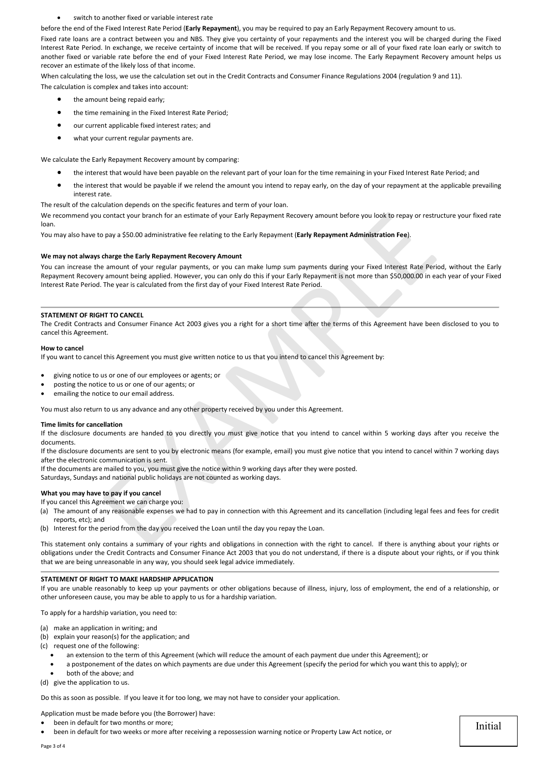#### switch to another fixed or variable interest rate

before the end of the Fixed Interest Rate Period (**Early Repayment**), you may be required to pay an Early Repayment Recovery amount to us.

Fixed rate loans are a contract between you and NBS. They give you certainty of your repayments and the interest you will be charged during the Fixed Interest Rate Period. In exchange, we receive certainty of income that will be received. If you repay some or all of your fixed rate loan early or switch to another fixed or variable rate before the end of your Fixed Interest Rate Period, we may lose income. The Early Repayment Recovery amount helps us recover an estimate of the likely loss of that income.

When calculating the loss, we use the calculation set out in the Credit Contracts and Consumer Finance Regulations 2004 (regulation 9 and 11). The calculation is complex and takes into account:

- the amount being repaid early:
- the time remaining in the Fixed Interest Rate Period;
- our current applicable fixed interest rates; and
- what your current regular payments are.

We calculate the Early Repayment Recovery amount by comparing:

- the interest that would have been payable on the relevant part of your loan for the time remaining in your Fixed Interest Rate Period; and
- the interest that would be payable if we relend the amount you intend to repay early, on the day of your repayment at the applicable prevailing interest rate.

The result of the calculation depends on the specific features and term of your loan.

We recommend you contact your branch for an estimate of your Early Repayment Recovery amount before you look to repay or restructure your fixed rate loan.

You may also have to pay a \$50.00 administrative fee relating to the Early Repayment (**Early Repayment Administration Fee**).

# **We may not always charge the Early Repayment Recovery Amount**

You can increase the amount of your regular payments, or you can make lump sum payments during your Fixed Interest Rate Period, without the Early Repayment Recovery amount being applied. However, you can only do this if your Early Repayment is not more than \$50,000.00 in each year of your Fixed Interest Rate Period. The year is calculated from the first day of your Fixed Interest Rate Period. contact your branch for an estimate of your Early Repayment Recovery amount before you look to repay or restroney and \$50.00 administrative fee relating to the Early Repayment Early Repayment Administration Fee).<br> **charge** 

# **STATEMENT OF RIGHT TO CANCEL**

The Credit Contracts and Consumer Finance Act 2003 gives you a right for a short time after the terms of this Agreement have been disclosed to you to cancel this Agreement.

## **How to cancel**

If you want to cancel this Agreement you must give written notice to us that you intend to cancel this Agreement by:

- giving notice to us or one of our employees or agents; or
- posting the notice to us or one of our agents; or
- emailing the notice to our email address.

You must also return to us any advance and any other property received by you under this Agreement.

#### **Time limits for cancellation**

If the disclosure documents are handed to you directly you must give notice that you intend to cancel within 5 working days after you receive the documents.

If the disclosure documents are sent to you by electronic means (for example, email) you must give notice that you intend to cancel within 7 working days after the electronic communication is sent.

If the documents are mailed to you, you must give the notice within 9 working days after they were posted.

Saturdays, Sundays and national public holidays are not counted as working days.

## **What you may have to pay if you cancel**

If you cancel this Agreement we can charge you:

- (a) The amount of any reasonable expenses we had to pay in connection with this Agreement and its cancellation (including legal fees and fees for credit reports, etc); and
- (b) Interest for the period from the day you received the Loan until the day you repay the Loan.

This statement only contains a summary of your rights and obligations in connection with the right to cancel. If there is anything about your rights or obligations under the Credit Contracts and Consumer Finance Act 2003 that you do not understand, if there is a dispute about your rights, or if you think that we are being unreasonable in any way, you should seek legal advice immediately.

## **STATEMENT OF RIGHT TO MAKE HARDSHIP APPLICATION**

If you are unable reasonably to keep up your payments or other obligations because of illness, injury, loss of employment, the end of a relationship, or other unforeseen cause, you may be able to apply to us for a hardship variation.

To apply for a hardship variation, you need to:

- (a) make an application in writing; and
- (b) explain your reason(s) for the application; and
- (c) request one of the following:
	- an extension to the term of this Agreement (which will reduce the amount of each payment due under this Agreement); or
	- a postponement of the dates on which payments are due under this Agreement (specify the period for which you want this to apply); or
- both of the above; and
- (d) give the application to us.

Do this as soon as possible. If you leave it for too long, we may not have to consider your application.

Application must be made before you (the Borrower) have:

- been in default for two months or more:
- been in default for two weeks or more after receiving a repossession warning notice or Property Law Act notice, or